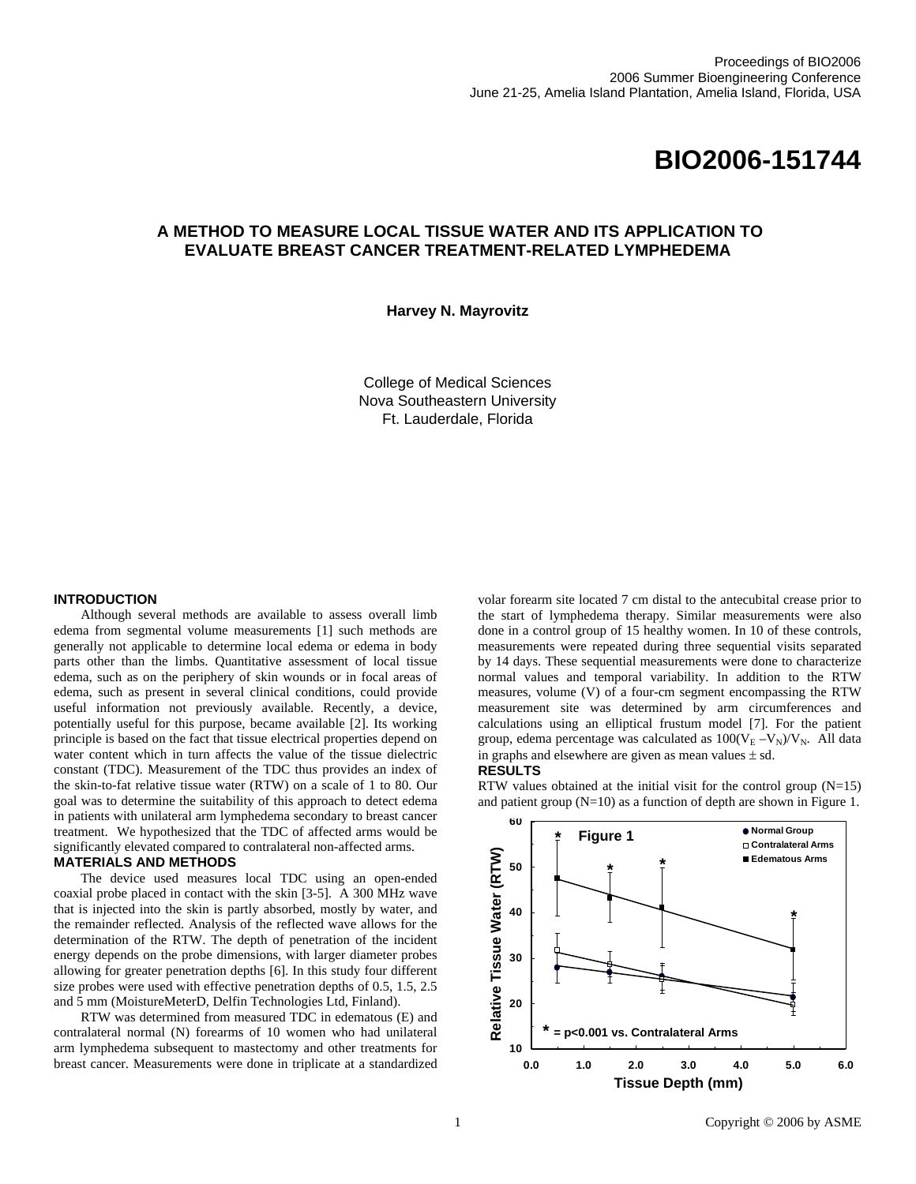# **BIO2006-151744**

## **A METHOD TO MEASURE LOCAL TISSUE WATER AND ITS APPLICATION TO EVALUATE BREAST CANCER TREATMENT-RELATED LYMPHEDEMA**

**Harvey N. Mayrovitz** 

College of Medical Sciences Nova Southeastern University Ft. Lauderdale, Florida

#### **INTRODUCTION**

Although several methods are available to assess overall limb edema from segmental volume measurements [1] such methods are generally not applicable to determine local edema or edema in body parts other than the limbs. Quantitative assessment of local tissue edema, such as on the periphery of skin wounds or in focal areas of edema, such as present in several clinical conditions, could provide useful information not previously available. Recently, a device, potentially useful for this purpose, became available [2]. Its working principle is based on the fact that tissue electrical properties depend on water content which in turn affects the value of the tissue dielectric constant (TDC). Measurement of the TDC thus provides an index of the skin-to-fat relative tissue water (RTW) on a scale of 1 to 80. Our goal was to determine the suitability of this approach to detect edema in patients with unilateral arm lymphedema secondary to breast cancer treatment. We hypothesized that the TDC of affected arms would be significantly elevated compared to contralateral non-affected arms. **MATERIALS AND METHODS** 

The device used measures local TDC using an open-ended coaxial probe placed in contact with the skin [3-5]. A 300 MHz wave that is injected into the skin is partly absorbed, mostly by water, and the remainder reflected. Analysis of the reflected wave allows for the determination of the RTW. The depth of penetration of the incident energy depends on the probe dimensions, with larger diameter probes allowing for greater penetration depths [6]. In this study four different size probes were used with effective penetration depths of 0.5, 1.5, 2.5 and 5 mm (MoistureMeterD, Delfin Technologies Ltd, Finland).

RTW was determined from measured TDC in edematous (E) and contralateral normal (N) forearms of 10 women who had unilateral arm lymphedema subsequent to mastectomy and other treatments for breast cancer. Measurements were done in triplicate at a standardized

volar forearm site located 7 cm distal to the antecubital crease prior to the start of lymphedema therapy. Similar measurements were also done in a control group of 15 healthy women. In 10 of these controls, measurements were repeated during three sequential visits separated by 14 days. These sequential measurements were done to characterize normal values and temporal variability. In addition to the RTW measures, volume (V) of a four-cm segment encompassing the RTW measurement site was determined by arm circumferences and calculations using an elliptical frustum model [7]. For the patient group, edema percentage was calculated as  $100(V_E - V_N)/V_N$ . All data in graphs and elsewhere are given as mean values  $\pm$  sd.

#### **RESULTS**

RTW values obtained at the initial visit for the control group  $(N=15)$ and patient group  $(N=10)$  as a function of depth are shown in Figure 1.